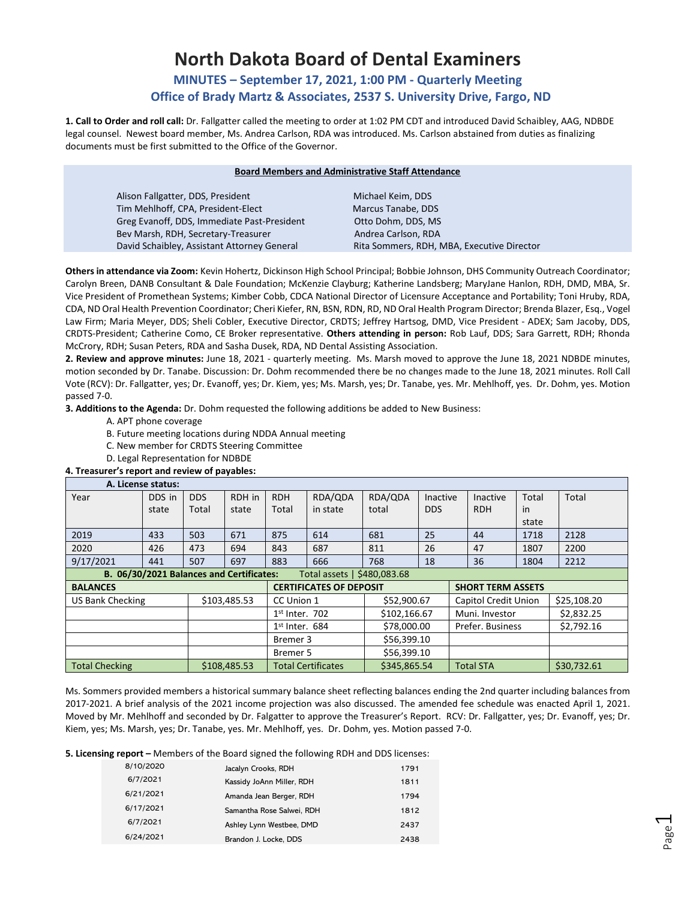# **North Dakota Board of Dental Examiners**

## **MINUTES – September 17, 2021, 1:00 PM - Quarterly Meeting Office of Brady Martz & Associates, 2537 S. University Drive, Fargo, ND**

**1. Call to Order and roll call:** Dr. Fallgatter called the meeting to order at 1:02 PM CDT and introduced David Schaibley, AAG, NDBDE legal counsel. Newest board member, Ms. Andrea Carlson, RDA was introduced. Ms. Carlson abstained from duties as finalizing documents must be first submitted to the Office of the Governor.

| <b>Board Members and Administrative Staff Attendance</b> |                                            |  |  |  |  |
|----------------------------------------------------------|--------------------------------------------|--|--|--|--|
| Alison Fallgatter, DDS, President                        | Michael Keim, DDS                          |  |  |  |  |
| Tim Mehlhoff, CPA, President-Elect                       | Marcus Tanabe, DDS                         |  |  |  |  |
| Greg Evanoff, DDS, Immediate Past-President              | Otto Dohm, DDS, MS                         |  |  |  |  |
| Bev Marsh, RDH, Secretary-Treasurer                      | Andrea Carlson, RDA                        |  |  |  |  |
| David Schaibley, Assistant Attorney General              | Rita Sommers, RDH, MBA, Executive Director |  |  |  |  |

**Others in attendance via Zoom:** Kevin Hohertz, Dickinson High School Principal; Bobbie Johnson, DHS Community Outreach Coordinator; Carolyn Breen, DANB Consultant & Dale Foundation; McKenzie Clayburg; Katherine Landsberg; MaryJane Hanlon, RDH, DMD, MBA, Sr. Vice President of Promethean Systems; Kimber Cobb, CDCA National Director of Licensure Acceptance and Portability; Toni Hruby, RDA, CDA, ND Oral Health Prevention Coordinator; Cheri Kiefer, RN, BSN, RDN, RD, ND Oral Health Program Director; Brenda Blazer, Esq., Vogel Law Firm; Maria Meyer, DDS; Sheli Cobler, Executive Director, CRDTS; Jeffrey Hartsog, DMD, Vice President - ADEX; Sam Jacoby, DDS, CRDTS-President; Catherine Como, CE Broker representative. **Others attending in person:** Rob Lauf, DDS; Sara Garrett, RDH; Rhonda McCrory, RDH; Susan Peters, RDA and Sasha Dusek, RDA, ND Dental Assisting Association.

**2. Review and approve minutes:** June 18, 2021 - quarterly meeting. Ms. Marsh moved to approve the June 18, 2021 NDBDE minutes, motion seconded by Dr. Tanabe. Discussion: Dr. Dohm recommended there be no changes made to the June 18, 2021 minutes. Roll Call Vote (RCV): Dr. Fallgatter, yes; Dr. Evanoff, yes; Dr. Kiem, yes; Ms. Marsh, yes; Dr. Tanabe, yes. Mr. Mehlhoff, yes. Dr. Dohm, yes. Motion passed 7-0.

**3. Additions to the Agenda:** Dr. Dohm requested the following additions be added to New Business:

- A. APT phone coverage
- B. Future meeting locations during NDDA Annual meeting
- C. New member for CRDTS Steering Committee
- D. Legal Representation for NDBDE

## **4. Treasurer's report and review of payables:**

|                                                                               | A. License status:                                                       |            |                  |                  |                           |              |                |  |                  |       |             |
|-------------------------------------------------------------------------------|--------------------------------------------------------------------------|------------|------------------|------------------|---------------------------|--------------|----------------|--|------------------|-------|-------------|
| Year                                                                          | DDS in                                                                   | <b>DDS</b> | RDH in           | <b>RDH</b>       | RDA/QDA                   | RDA/QDA      | Inactive       |  | <b>Inactive</b>  | Total | Total       |
|                                                                               | state                                                                    | Total      | state            | Total            | in state                  | total        | <b>DDS</b>     |  | <b>RDH</b>       | in    |             |
|                                                                               |                                                                          |            |                  |                  |                           |              |                |  |                  | state |             |
| 2019                                                                          | 433                                                                      | 503        | 671              | 875              | 614                       | 681          | 25             |  | 44               | 1718  | 2128        |
| 2020                                                                          | 426                                                                      | 473        | 694              | 843              | 687                       | 811          | 26             |  | 47               | 1807  | 2200        |
| 9/17/2021                                                                     | 441                                                                      | 507        | 697              | 883              | 666                       | 768          | 18             |  | 36               | 1804  | 2212        |
| B. 06/30/2021 Balances and Certificates:<br>Total assets   \$480,083.68       |                                                                          |            |                  |                  |                           |              |                |  |                  |       |             |
| <b>CERTIFICATES OF DEPOSIT</b><br><b>SHORT TERM ASSETS</b><br><b>BALANCES</b> |                                                                          |            |                  |                  |                           |              |                |  |                  |       |             |
| <b>US Bank Checking</b>                                                       | \$103,485.53<br><b>Capitol Credit Union</b><br>\$52,900.67<br>CC Union 1 |            |                  | \$25,108.20      |                           |              |                |  |                  |       |             |
|                                                                               |                                                                          |            | $1st$ Inter. 702 |                  | \$102,166.67              |              | Muni. Investor |  | \$2,832.25       |       |             |
|                                                                               | $1st$ Inter. 684<br>\$78,000.00                                          |            |                  | Prefer. Business |                           | \$2,792.16   |                |  |                  |       |             |
|                                                                               | Bremer 3                                                                 |            | \$56,399.10      |                  |                           |              |                |  |                  |       |             |
|                                                                               |                                                                          |            |                  | Bremer 5         |                           | \$56,399.10  |                |  |                  |       |             |
| <b>Total Checking</b>                                                         |                                                                          |            | \$108,485.53     |                  | <b>Total Certificates</b> | \$345,865.54 |                |  | <b>Total STA</b> |       | \$30,732.61 |

Ms. Sommers provided members a historical summary balance sheet reflecting balances ending the 2nd quarter including balances from 2017-2021. A brief analysis of the 2021 income projection was also discussed. The amended fee schedule was enacted April 1, 2021. Moved by Mr. Mehlhoff and seconded by Dr. Falgatter to approve the Treasurer's Report. RCV: Dr. Fallgatter, yes; Dr. Evanoff, yes; Dr. Kiem, yes; Ms. Marsh, yes; Dr. Tanabe, yes. Mr. Mehlhoff, yes. Dr. Dohm, yes. Motion passed 7-0.

**5. Licensing report –** Members of the Board signed the following RDH and DDS licenses:

| 8/10/2020 | Jacalyn Crooks, RDH       | 1791 |
|-----------|---------------------------|------|
| 6/7/2021  | Kassidy JoAnn Miller, RDH | 1811 |
| 6/21/2021 | Amanda Jean Berger, RDH   | 1794 |
| 6/17/2021 | Samantha Rose Salwei, RDH | 1812 |
| 6/7/2021  | Ashley Lynn Westbee, DMD  | 2437 |
| 6/24/2021 | Brandon J. Locke, DDS     | 2438 |
|           |                           |      |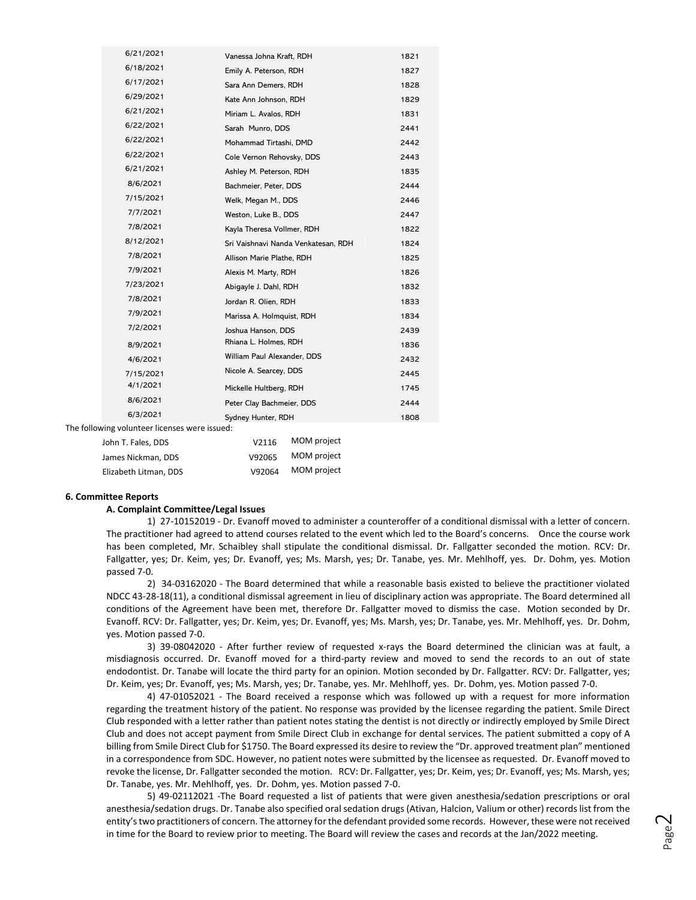| 6/21/2021                       | Vanessa Johna Kraft, RDH            | 1821 |  |  |
|---------------------------------|-------------------------------------|------|--|--|
| 6/18/2021                       | Emily A. Peterson, RDH              | 1827 |  |  |
| 6/17/2021                       | Sara Ann Demers, RDH                | 1828 |  |  |
| 6/29/2021                       | Kate Ann Johnson, RDH               | 1829 |  |  |
| 6/21/2021                       | Miriam L. Avalos, RDH               | 1831 |  |  |
| 6/22/2021                       | Sarah Munro, DDS                    | 2441 |  |  |
| 6/22/2021                       | Mohammad Tirtashi, DMD              | 2442 |  |  |
| 6/22/2021                       | Cole Vernon Rehovsky, DDS           | 2443 |  |  |
| 6/21/2021                       | Ashley M. Peterson, RDH             | 1835 |  |  |
| 8/6/2021                        | Bachmeier, Peter, DDS               | 2444 |  |  |
| 7/15/2021                       | Welk, Megan M., DDS                 | 2446 |  |  |
| 7/7/2021                        | Weston, Luke B., DDS                | 2447 |  |  |
| 7/8/2021                        | Kayla Theresa Vollmer, RDH          | 1822 |  |  |
| 8/12/2021                       | Sri Vaishnavi Nanda Venkatesan, RDH | 1824 |  |  |
| 7/8/2021                        | Allison Marie Plathe, RDH           | 1825 |  |  |
| 7/9/2021                        | Alexis M. Marty, RDH                | 1826 |  |  |
| 7/23/2021                       | Abigayle J. Dahl, RDH               | 1832 |  |  |
| 7/8/2021                        | Jordan R. Olien, RDH                | 1833 |  |  |
| 7/9/2021                        | Marissa A. Holmquist, RDH           | 1834 |  |  |
| 7/2/2021                        | Joshua Hanson, DDS                  | 2439 |  |  |
| 8/9/2021                        | Rhiana L. Holmes, RDH               | 1836 |  |  |
| 4/6/2021                        | William Paul Alexander, DDS         | 2432 |  |  |
| 7/15/2021                       | Nicole A. Searcey, DDS              | 2445 |  |  |
| 4/1/2021                        | Mickelle Hultberg, RDH              | 1745 |  |  |
| 8/6/2021                        | Peter Clay Bachmeier, DDS           | 2444 |  |  |
| 6/3/2021                        | Sydney Hunter, RDH                  | 1808 |  |  |
| volunteer licenses were issued: |                                     |      |  |  |
|                                 | $\sum_{n=1}^{n} a_n$                |      |  |  |

| John T. Fales, DDS    | V2116  | MOM project |
|-----------------------|--------|-------------|
| James Nickman, DDS    | V92065 | MOM project |
| Elizabeth Litman, DDS | V92064 | MOM project |

#### **6. Committee Reports**

The following

#### **A. Complaint Committee/Legal Issues**

1) 27-10152019 - Dr. Evanoff moved to administer a counteroffer of a conditional dismissal with a letter of concern. The practitioner had agreed to attend courses related to the event which led to the Board's concerns. Once the course work has been completed, Mr. Schaibley shall stipulate the conditional dismissal. Dr. Fallgatter seconded the motion. RCV: Dr. Fallgatter, yes; Dr. Keim, yes; Dr. Evanoff, yes; Ms. Marsh, yes; Dr. Tanabe, yes. Mr. Mehlhoff, yes. Dr. Dohm, yes. Motion passed 7-0.

2) 34-03162020 - The Board determined that while a reasonable basis existed to believe the practitioner violated NDCC 43-28-18(11), a conditional dismissal agreement in lieu of disciplinary action was appropriate. The Board determined all conditions of the Agreement have been met, therefore Dr. Fallgatter moved to dismiss the case. Motion seconded by Dr. Evanoff. RCV: Dr. Fallgatter, yes; Dr. Keim, yes; Dr. Evanoff, yes; Ms. Marsh, yes; Dr. Tanabe, yes. Mr. Mehlhoff, yes. Dr. Dohm, yes. Motion passed 7-0.

3) 39-08042020 - After further review of requested x-rays the Board determined the clinician was at fault, a misdiagnosis occurred. Dr. Evanoff moved for a third-party review and moved to send the records to an out of state endodontist. Dr. Tanabe will locate the third party for an opinion. Motion seconded by Dr. Fallgatter. RCV: Dr. Fallgatter, yes; Dr. Keim, yes; Dr. Evanoff, yes; Ms. Marsh, yes; Dr. Tanabe, yes. Mr. Mehlhoff, yes. Dr. Dohm, yes. Motion passed 7-0.

4) 47-01052021 - The Board received a response which was followed up with a request for more information regarding the treatment history of the patient. No response was provided by the licensee regarding the patient. Smile Direct Club responded with a letter rather than patient notes stating the dentist is not directly or indirectly employed by Smile Direct Club and does not accept payment from Smile Direct Club in exchange for dental services. The patient submitted a copy of A billing from Smile Direct Club for \$1750. The Board expressed its desire to review the "Dr. approved treatment plan" mentioned in a correspondence from SDC. However, no patient notes were submitted by the licensee as requested. Dr. Evanoff moved to revoke the license, Dr. Fallgatter seconded the motion. RCV: Dr. Fallgatter, yes; Dr. Keim, yes; Dr. Evanoff, yes; Ms. Marsh, yes; Dr. Tanabe, yes. Mr. Mehlhoff, yes. Dr. Dohm, yes. Motion passed 7-0.

5) 49-02112021 -The Board requested a list of patients that were given anesthesia/sedation prescriptions or oral anesthesia/sedation drugs. Dr. Tanabe also specified oral sedation drugs (Ativan, Halcion, Valium or other) records list from the entity's two practitioners of concern. The attorney for the defendant provided some records. However, these were not received in time for the Board to review prior to meeting. The Board will review the cases and records at the Jan/2022 meeting.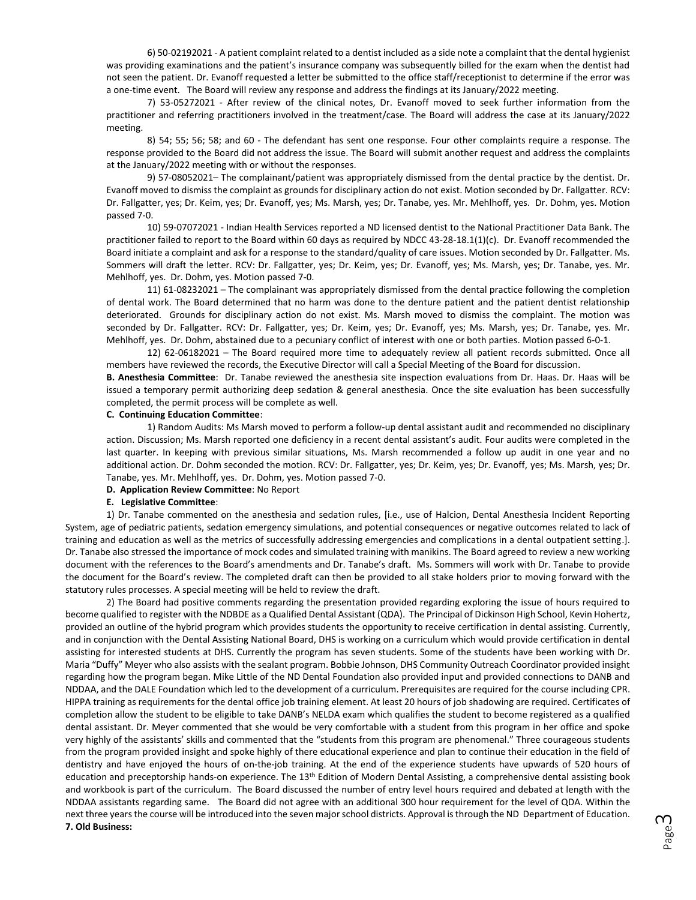6) 50-02192021 - A patient complaint related to a dentist included as a side note a complaint that the dental hygienist was providing examinations and the patient's insurance company was subsequently billed for the exam when the dentist had not seen the patient. Dr. Evanoff requested a letter be submitted to the office staff/receptionist to determine if the error was a one-time event. The Board will review any response and address the findings at its January/2022 meeting.

7) 53-05272021 - After review of the clinical notes, Dr. Evanoff moved to seek further information from the practitioner and referring practitioners involved in the treatment/case. The Board will address the case at its January/2022 meeting.

8) 54; 55; 56; 58; and 60 - The defendant has sent one response. Four other complaints require a response. The response provided to the Board did not address the issue. The Board will submit another request and address the complaints at the January/2022 meeting with or without the responses.

9) 57-08052021– The complainant/patient was appropriately dismissed from the dental practice by the dentist. Dr. Evanoff moved to dismiss the complaint as grounds for disciplinary action do not exist. Motion seconded by Dr. Fallgatter. RCV: Dr. Fallgatter, yes; Dr. Keim, yes; Dr. Evanoff, yes; Ms. Marsh, yes; Dr. Tanabe, yes. Mr. Mehlhoff, yes. Dr. Dohm, yes. Motion passed 7-0.

10) 59-07072021 - Indian Health Services reported a ND licensed dentist to the National Practitioner Data Bank. The practitioner failed to report to the Board within 60 days as required by NDCC 43-28-18.1(1)(c). Dr. Evanoff recommended the Board initiate a complaint and ask for a response to the standard/quality of care issues. Motion seconded by Dr. Fallgatter. Ms. Sommers will draft the letter. RCV: Dr. Fallgatter, yes; Dr. Keim, yes; Dr. Evanoff, yes; Ms. Marsh, yes; Dr. Tanabe, yes. Mr. Mehlhoff, yes. Dr. Dohm, yes. Motion passed 7-0.

11) 61-08232021 – The complainant was appropriately dismissed from the dental practice following the completion of dental work. The Board determined that no harm was done to the denture patient and the patient dentist relationship deteriorated. Grounds for disciplinary action do not exist. Ms. Marsh moved to dismiss the complaint. The motion was seconded by Dr. Fallgatter. RCV: Dr. Fallgatter, yes; Dr. Keim, yes; Dr. Evanoff, yes; Ms. Marsh, yes; Dr. Tanabe, yes. Mr. Mehlhoff, yes. Dr. Dohm, abstained due to a pecuniary conflict of interest with one or both parties. Motion passed 6-0-1.

12) 62-06182021 – The Board required more time to adequately review all patient records submitted. Once all members have reviewed the records, the Executive Director will call a Special Meeting of the Board for discussion.

**B. Anesthesia Committee**: Dr. Tanabe reviewed the anesthesia site inspection evaluations from Dr. Haas. Dr. Haas will be issued a temporary permit authorizing deep sedation & general anesthesia. Once the site evaluation has been successfully completed, the permit process will be complete as well.

## **C. Continuing Education Committee**:

1) Random Audits: Ms Marsh moved to perform a follow-up dental assistant audit and recommended no disciplinary action. Discussion; Ms. Marsh reported one deficiency in a recent dental assistant's audit. Four audits were completed in the last quarter. In keeping with previous similar situations, Ms. Marsh recommended a follow up audit in one year and no additional action. Dr. Dohm seconded the motion. RCV: Dr. Fallgatter, yes; Dr. Keim, yes; Dr. Evanoff, yes; Ms. Marsh, yes; Dr. Tanabe, yes. Mr. Mehlhoff, yes. Dr. Dohm, yes. Motion passed 7-0.

**D. Application Review Committee**: No Report

#### **E. Legislative Committee**:

1) Dr. Tanabe commented on the anesthesia and sedation rules, [i.e., use of Halcion, Dental Anesthesia Incident Reporting System, age of pediatric patients, sedation emergency simulations, and potential consequences or negative outcomes related to lack of training and education as well as the metrics of successfully addressing emergencies and complications in a dental outpatient setting.]. Dr. Tanabe also stressed the importance of mock codes and simulated training with manikins. The Board agreed to review a new working document with the references to the Board's amendments and Dr. Tanabe's draft. Ms. Sommers will work with Dr. Tanabe to provide the document for the Board's review. The completed draft can then be provided to all stake holders prior to moving forward with the statutory rules processes. A special meeting will be held to review the draft.

2) The Board had positive comments regarding the presentation provided regarding exploring the issue of hours required to become qualified to register with the NDBDE as a Qualified Dental Assistant (QDA). The Principal of Dickinson High School, Kevin Hohertz, provided an outline of the hybrid program which provides students the opportunity to receive certification in dental assisting. Currently, and in conjunction with the Dental Assisting National Board, DHS is working on a curriculum which would provide certification in dental assisting for interested students at DHS. Currently the program has seven students. Some of the students have been working with Dr. Maria "Duffy" Meyer who also assists with the sealant program. Bobbie Johnson, DHS Community Outreach Coordinator provided insight regarding how the program began. Mike Little of the ND Dental Foundation also provided input and provided connections to DANB and NDDAA, and the DALE Foundation which led to the development of a curriculum. Prerequisites are required for the course including CPR. HIPPA training as requirements for the dental office job training element. At least 20 hours of job shadowing are required. Certificates of completion allow the student to be eligible to take DANB's NELDA exam which qualifies the student to become registered as a qualified dental assistant. Dr. Meyer commented that she would be very comfortable with a student from this program in her office and spoke very highly of the assistants' skills and commented that the "students from this program are phenomenal." Three courageous students from the program provided insight and spoke highly of there educational experience and plan to continue their education in the field of dentistry and have enjoyed the hours of on-the-job training. At the end of the experience students have upwards of 520 hours of education and preceptorship hands-on experience. The 13<sup>th</sup> Edition of Modern Dental Assisting, a comprehensive dental assisting book and workbook is part of the curriculum. The Board discussed the number of entry level hours required and debated at length with the NDDAA assistants regarding same. The Board did not agree with an additional 300 hour requirement for the level of QDA. Within the next three years the course will be introduced into the seven major school districts. Approval is through the ND Department of Education. **7. Old Business:**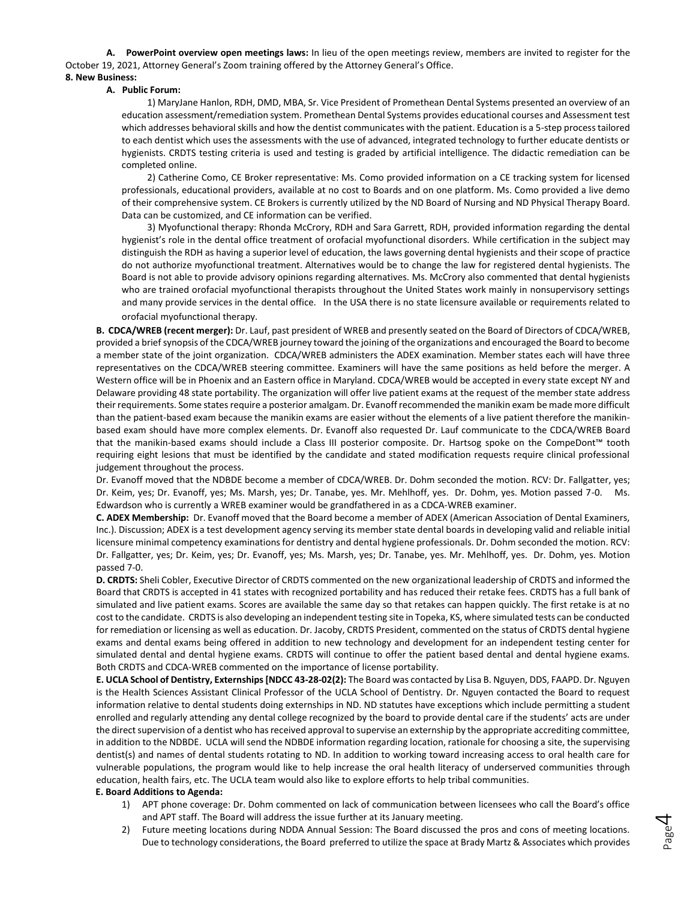**A. PowerPoint overview open meetings laws:** In lieu of the open meetings review, members are invited to register for the October 19, 2021, Attorney General's Zoom training offered by the Attorney General's Office. **8. New Business:**

## **A. Public Forum:**

1) MaryJane Hanlon, RDH, DMD, MBA, Sr. Vice President of Promethean Dental Systems presented an overview of an education assessment/remediation system. Promethean Dental Systems provides educational courses and Assessment test which addresses behavioral skills and how the dentist communicates with the patient. Education is a 5-step process tailored to each dentist which uses the assessments with the use of advanced, integrated technology to further educate dentists or hygienists. CRDTS testing criteria is used and testing is graded by artificial intelligence. The didactic remediation can be completed online.

2) Catherine Como, CE Broker representative: Ms. Como provided information on a CE tracking system for licensed professionals, educational providers, available at no cost to Boards and on one platform. Ms. Como provided a live demo of their comprehensive system. CE Brokers is currently utilized by the ND Board of Nursing and ND Physical Therapy Board. Data can be customized, and CE information can be verified.

3) Myofunctional therapy: Rhonda McCrory, RDH and Sara Garrett, RDH, provided information regarding the dental hygienist's role in the dental office treatment of orofacial myofunctional disorders. While certification in the subject may distinguish the RDH as having a superior level of education, the laws governing dental hygienists and their scope of practice do not authorize myofunctional treatment. Alternatives would be to change the law for registered dental hygienists. The Board is not able to provide advisory opinions regarding alternatives. Ms. McCrory also commented that dental hygienists who are trained orofacial myofunctional therapists throughout the United States work mainly in nonsupervisory settings and many provide services in the dental office. In the USA there is no state licensure available or requirements related to orofacial myofunctional therapy.

**B. CDCA/WREB (recent merger):** Dr. Lauf, past president of WREB and presently seated on the Board of Directors of CDCA/WREB, provided a brief synopsis of the CDCA/WREB journey toward the joining of the organizations and encouraged the Board to become a member state of the joint organization. CDCA/WREB administers the ADEX examination. Member states each will have three representatives on the CDCA/WREB steering committee. Examiners will have the same positions as held before the merger. A Western office will be in Phoenix and an Eastern office in Maryland. CDCA/WREB would be accepted in every state except NY and Delaware providing 48 state portability. The organization will offer live patient exams at the request of the member state address their requirements. Some states require a posterior amalgam. Dr. Evanoff recommended the manikin exam be made more difficult than the patient-based exam because the manikin exams are easier without the elements of a live patient therefore the manikinbased exam should have more complex elements. Dr. Evanoff also requested Dr. Lauf communicate to the CDCA/WREB Board that the manikin-based exams should include a Class III posterior composite. Dr. Hartsog spoke on the CompeDont™ tooth requiring eight lesions that must be identified by the candidate and stated modification requests require clinical professional judgement throughout the process.

Dr. Evanoff moved that the NDBDE become a member of CDCA/WREB. Dr. Dohm seconded the motion. RCV: Dr. Fallgatter, yes; Dr. Keim, yes; Dr. Evanoff, yes; Ms. Marsh, yes; Dr. Tanabe, yes. Mr. Mehlhoff, yes. Dr. Dohm, yes. Motion passed 7-0. Ms. Edwardson who is currently a WREB examiner would be grandfathered in as a CDCA-WREB examiner.

**C. ADEX Membership:** Dr. Evanoff moved that the Board become a member of ADEX (American Association of Dental Examiners, Inc.). Discussion; ADEX is a test development agency serving its member state dental boards in developing valid and reliable initial licensure minimal competency examinations for dentistry and dental hygiene professionals. Dr. Dohm seconded the motion. RCV: Dr. Fallgatter, yes; Dr. Keim, yes; Dr. Evanoff, yes; Ms. Marsh, yes; Dr. Tanabe, yes. Mr. Mehlhoff, yes. Dr. Dohm, yes. Motion passed 7-0.

**D. CRDTS:** Sheli Cobler, Executive Director of CRDTS commented on the new organizational leadership of CRDTS and informed the Board that CRDTS is accepted in 41 states with recognized portability and has reduced their retake fees. CRDTS has a full bank of simulated and live patient exams. Scores are available the same day so that retakes can happen quickly. The first retake is at no cost to the candidate. CRDTS is also developing an independent testing site in Topeka, KS, where simulated tests can be conducted for remediation or licensing as well as education. Dr. Jacoby, CRDTS President, commented on the status of CRDTS dental hygiene exams and dental exams being offered in addition to new technology and development for an independent testing center for simulated dental and dental hygiene exams. CRDTS will continue to offer the patient based dental and dental hygiene exams. Both CRDTS and CDCA-WREB commented on the importance of license portability.

**E. UCLA School of Dentistry, Externships [NDCC 43-28-02(2):** The Board was contacted by Lisa B. Nguyen, DDS, FAAPD. Dr. Nguyen is the Health Sciences Assistant Clinical Professor of the UCLA School of Dentistry. Dr. Nguyen contacted the Board to request information relative to dental students doing externships in ND. ND statutes have exceptions which include permitting a student enrolled and regularly attending any dental college recognized by the board to provide dental care if the students' acts are under the direct supervision of a dentist who has received approval to supervise an externship by the appropriate accrediting committee, in addition to the NDBDE. UCLA will send the NDBDE information regarding location, rationale for choosing a site, the supervising dentist(s) and names of dental students rotating to ND. In addition to working toward increasing access to oral health care for vulnerable populations, the program would like to help increase the oral health literacy of underserved communities through education, health fairs, etc. The UCLA team would also like to explore efforts to help tribal communities.

## **E. Board Additions to Agenda:**

- 1) APT phone coverage: Dr. Dohm commented on lack of communication between licensees who call the Board's office and APT staff. The Board will address the issue further at its January meeting.
- 2) Future meeting locations during NDDA Annual Session: The Board discussed the pros and cons of meeting locations. Due to technology considerations, the Board preferred to utilize the space at Brady Martz & Associates which provides